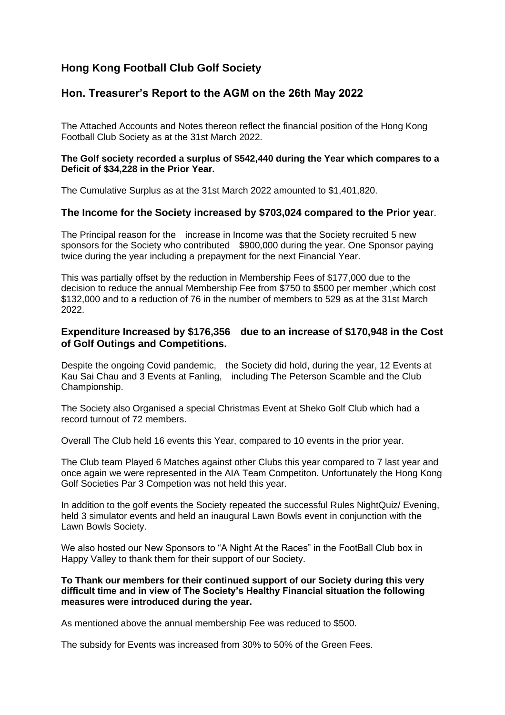# **Hong Kong Football Club Golf Society**

# **Hon. Treasurer's Report to the AGM on the 26th May 2022**

The Attached Accounts and Notes thereon reflect the financial position of the Hong Kong Football Club Society as at the 31st March 2022.

#### **The Golf society recorded a surplus of \$542,440 during the Year which compares to a Deficit of \$34,228 in the Prior Year.**

The Cumulative Surplus as at the 31st March 2022 amounted to \$1,401,820.

## **The Income for the Society increased by \$703,024 compared to the Prior yea**r.

The Principal reason for the increase in Income was that the Society recruited 5 new sponsors for the Society who contributed \$900,000 during the year. One Sponsor paying twice during the year including a prepayment for the next Financial Year.

This was partially offset by the reduction in Membership Fees of \$177,000 due to the decision to reduce the annual Membership Fee from \$750 to \$500 per member ,which cost \$132,000 and to a reduction of 76 in the number of members to 529 as at the 31st March 2022.

## **Expenditure Increased by \$176,356 due to an increase of \$170,948 in the Cost of Golf Outings and Competitions.**

Despite the ongoing Covid pandemic, the Society did hold, during the year, 12 Events at Kau Sai Chau and 3 Events at Fanling, including The Peterson Scamble and the Club Championship.

The Society also Organised a special Christmas Event at Sheko Golf Club which had a record turnout of 72 members.

Overall The Club held 16 events this Year, compared to 10 events in the prior year.

The Club team Played 6 Matches against other Clubs this year compared to 7 last year and once again we were represented in the AIA Team Competiton. Unfortunately the Hong Kong Golf Societies Par 3 Competion was not held this year.

In addition to the golf events the Society repeated the successful Rules NightQuiz/ Evening, held 3 simulator events and held an inaugural Lawn Bowls event in conjunction with the Lawn Bowls Society.

We also hosted our New Sponsors to "A Night At the Races" in the FootBall Club box in Happy Valley to thank them for their support of our Society.

#### **To Thank our members for their continued support of our Society during this very difficult time and in view of The Society's Healthy Financial situation the following measures were introduced during the year.**

As mentioned above the annual membership Fee was reduced to \$500.

The subsidy for Events was increased from 30% to 50% of the Green Fees.